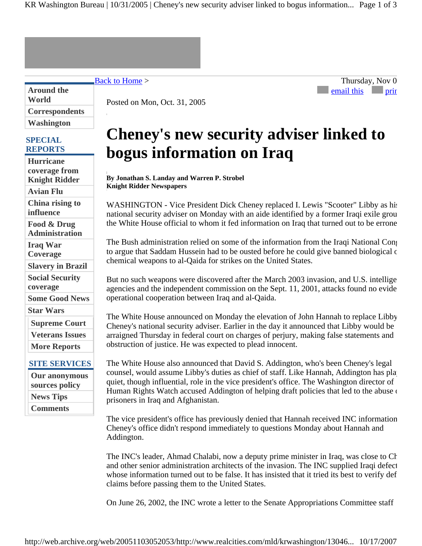KR Washington Bureau | 10/31/2005 | Cheney's new security adviser linked to bogus information... Page 1 of 3

Back to Home > Thursday, Nov 0

**Around the World Correspondents Washington**

## **SPECIAL REPORTS**

**Hurricane coverage from Knight Ridder Avian Flu China rising to influence Food & Drug Administration Iraq War Coverage Slavery in Brazil Social Security coverage Some Good News Star Wars Supreme Court Veterans Issues More Reports SITE SERVICES Our anonymous sources policy News Tips Comments**

Posted on Mon, Oct. 31, 2005

## **Cheney's new security adviser linked to bogus information on Iraq**

email this print

**By Jonathan S. Landay and Warren P. Strobel Knight Ridder Newspapers**

WASHINGTON - Vice President Dick Cheney replaced I. Lewis "Scooter" Libby as his national security adviser on Monday with an aide identified by a former Iraqi exile grou the White House official to whom it fed information on Iraq that turned out to be errone

The Bush administration relied on some of the information from the Iraqi National Cong to argue that Saddam Hussein had to be ousted before he could give banned biological c chemical weapons to al-Qaida for strikes on the United States.

But no such weapons were discovered after the March 2003 invasion, and U.S. intellige agencies and the independent commission on the Sept. 11, 2001, attacks found no evide operational cooperation between Iraq and al-Qaida.

The White House announced on Monday the elevation of John Hannah to replace Libby Cheney's national security adviser. Earlier in the day it announced that Libby would be arraigned Thursday in federal court on charges of perjury, making false statements and obstruction of justice. He was expected to plead innocent.

The White House also announced that David S. Addington, who's been Cheney's legal counsel, would assume Libby's duties as chief of staff. Like Hannah, Addington has play quiet, though influential, role in the vice president's office. The Washington director of Human Rights Watch accused Addington of helping draft policies that led to the abuse of prisoners in Iraq and Afghanistan.

The vice president's office has previously denied that Hannah received INC information Cheney's office didn't respond immediately to questions Monday about Hannah and Addington.

The INC's leader, Ahmad Chalabi, now a deputy prime minister in Iraq, was close to Ch and other senior administration architects of the invasion. The INC supplied Iraqi defect whose information turned out to be false. It has insisted that it tried its best to verify def claims before passing them to the United States.

On June 26, 2002, the INC wrote a letter to the Senate Appropriations Committee staff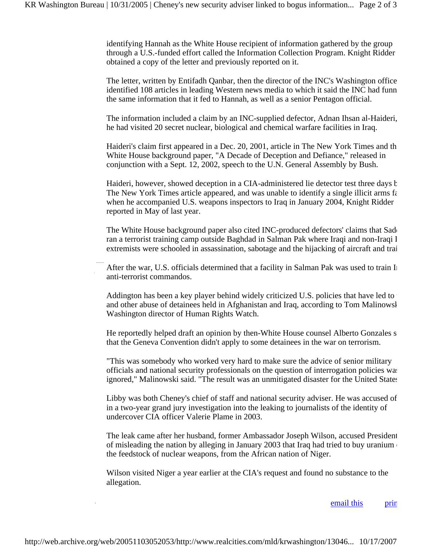identifying Hannah as the White House recipient of information gathered by the group through a U.S.-funded effort called the Information Collection Program. Knight Ridder obtained a copy of the letter and previously reported on it.

The letter, written by Entifadh Qanbar, then the director of the INC's Washington office identified 108 articles in leading Western news media to which it said the INC had funn the same information that it fed to Hannah, as well as a senior Pentagon official.

The information included a claim by an INC-supplied defector, Adnan Ihsan al-Haideri, he had visited 20 secret nuclear, biological and chemical warfare facilities in Iraq.

Haideri's claim first appeared in a Dec. 20, 2001, article in The New York Times and th White House background paper, "A Decade of Deception and Defiance," released in conjunction with a Sept. 12, 2002, speech to the U.N. General Assembly by Bush.

Haideri, however, showed deception in a CIA-administered lie detector test three days b The New York Times article appeared, and was unable to identify a single illicit arms fa when he accompanied U.S. weapons inspectors to Iraq in January 2004, Knight Ridder reported in May of last year.

The White House background paper also cited INC-produced defectors' claims that Sadd ran a terrorist training camp outside Baghdad in Salman Pak where Iraqi and non-Iraqi I extremists were schooled in assassination, sabotage and the hijacking of aircraft and trai

After the war, U.S. officials determined that a facility in Salman Pak was used to train Ir anti-terrorist commandos.

Addington has been a key player behind widely criticized U.S. policies that have led to and other abuse of detainees held in Afghanistan and Iraq, according to Tom Malinowsk Washington director of Human Rights Watch.

He reportedly helped draft an opinion by then-White House counsel Alberto Gonzales s that the Geneva Convention didn't apply to some detainees in the war on terrorism.

"This was somebody who worked very hard to make sure the advice of senior military officials and national security professionals on the question of interrogation policies was ignored," Malinowski said. "The result was an unmitigated disaster for the United States

Libby was both Cheney's chief of staff and national security adviser. He was accused of in a two-year grand jury investigation into the leaking to journalists of the identity of undercover CIA officer Valerie Plame in 2003.

The leak came after her husband, former Ambassador Joseph Wilson, accused President of misleading the nation by alleging in January 2003 that Iraq had tried to buy uranium the feedstock of nuclear weapons, from the African nation of Niger.

Wilson visited Niger a year earlier at the CIA's request and found no substance to the allegation.

email this prin